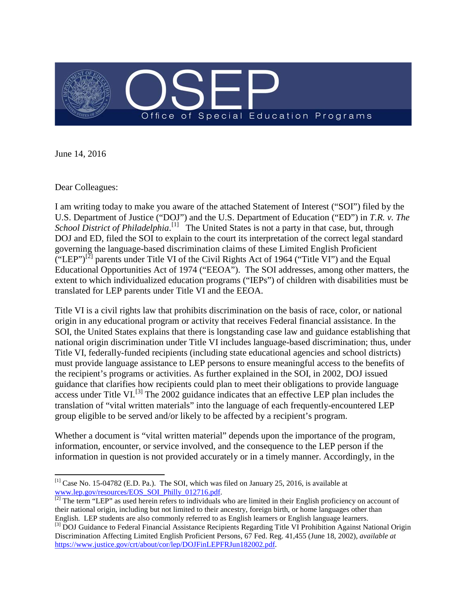

June 14, 2016

Dear Colleagues:

I am writing today to make you aware of the attached Statement of Interest ("SOI") filed by the U.S. Department of Justice ("DOJ") and the U.S. Department of Education ("ED") in *T.R. v. The*  School District of Philadelphia.<sup>[\[1\]](#page-0-0)</sup> The United States is not a party in that case, but, through DOJ and ED, filed the SOI to explain to the court its interpretation of the correct legal standard governing the language-based discrimination claims of these Limited English Proficient ("LEP")<sup>[\[2\]](#page-0-1)</sup> parents under Title VI of the Civil Rights Act of 1964 ("Title VI") and the Equal Educational Opportunities Act of 1974 ("EEOA"). The SOI addresses, among other matters, the extent to which individualized education programs ("IEPs") of children with disabilities must be translated for LEP parents under Title VI and the EEOA.

Title VI is a civil rights law that prohibits discrimination on the basis of race, color, or national origin in any educational program or activity that receives Federal financial assistance. In the SOI, the United States explains that there is longstanding case law and guidance establishing that national origin discrimination under Title VI includes language-based discrimination; thus, under Title VI, federally-funded recipients (including state educational agencies and school districts) must provide language assistance to LEP persons to ensure meaningful access to the benefits of the recipient's programs or activities. As further explained in the SOI, in 2002, DOJ issued guidance that clarifies how recipients could plan to meet their obligations to provide language  $\alpha$  access under Title VI.<sup>[\[3\]](#page-0-2)</sup> The 2002 guidance indicates that an effective LEP plan includes the translation of "vital written materials" into the language of each frequently-encountered LEP group eligible to be served and/or likely to be affected by a recipient's program.

Whether a document is "vital written material" depends upon the importance of the program, information, encounter, or service involved, and the consequence to the LEP person if the information in question is not provided accurately or in a timely manner. Accordingly, in the

<span id="page-0-0"></span> $^{[1]}$  Case No. 15-04782 (E.D. Pa.). The SOI, which was filed on January 25, 2016, is available at [www.lep.gov/resources/EOS\\_SOI\\_Philly\\_012716.pdf.](http://www.lep.gov/resources/EOS_SOI_Philly_012716.pdf)<br> $\frac{1}{2}$  The term "LEP" as used herein refers to individuals who are limited in their English proficiency on account of  $\overline{\phantom{a}}$ 

<span id="page-0-1"></span>their national origin, including but not limited to their ancestry, foreign birth, or home languages other than English. LEP students are also commonly referred to as English learners or English language learners.

<span id="page-0-2"></span><sup>&</sup>lt;sup>[3]</sup> DOJ Guidance to Federal Financial Assistance Recipients Regarding Title VI Prohibition Against National Origin Discrimination Affecting Limited English Proficient Persons, 67 Fed. Reg. 41,455 (June 18, 2002), *available at* [https://www.justice.gov/crt/about/cor/lep/DOJFinLEPFRJun182002.pdf.](https://www.justice.gov/crt/about/cor/lep/DOJFinLEPFRJun182002.pdf)